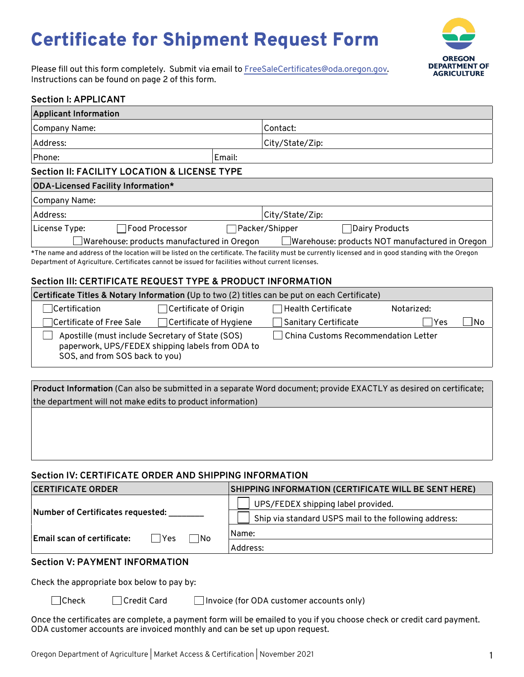# Certificate for Shipment Request Form



Please fill out this form completely. Submit via email to FreeSaleCertificates@oda.oregon.gov. Instructions can be found on page 2 of this form.

### **Section I: APPLICANT**

| <b>Applicant Information</b>                                                                                                                                                                                                                               |        |                       |                |  |  |
|------------------------------------------------------------------------------------------------------------------------------------------------------------------------------------------------------------------------------------------------------------|--------|-----------------------|----------------|--|--|
| Company Name:                                                                                                                                                                                                                                              |        | Contact:              |                |  |  |
| Address:                                                                                                                                                                                                                                                   |        | City/State/Zip:       |                |  |  |
| Phone:                                                                                                                                                                                                                                                     | Email: |                       |                |  |  |
| Section II: FACILITY LOCATION & LICENSE TYPE                                                                                                                                                                                                               |        |                       |                |  |  |
| ODA-Licensed Facility Information*                                                                                                                                                                                                                         |        |                       |                |  |  |
| Company Name:                                                                                                                                                                                                                                              |        |                       |                |  |  |
| Address:                                                                                                                                                                                                                                                   |        | City/State/Zip:       |                |  |  |
| <b>TFood Processor</b><br>License Type:                                                                                                                                                                                                                    |        | $\Box$ Packer/Shipper | Dairy Products |  |  |
| Warehouse: products manufactured in Oregon<br>Warehouse: products NOT manufactured in Oregon                                                                                                                                                               |        |                       |                |  |  |
| *The name and address of the location will be listed on the certificate. The facility must be currently licensed and in good standing with the Oregon<br>Department of Agriculture. Certificates cannot be issued for facilities without current licenses. |        |                       |                |  |  |

### **Section III: CERTIFICATE REQUEST TYPE & PRODUCT INFORMATION**

| Certificate Titles & Notary Information (Up to two (2) titles can be put on each Certificate)                                          |                               |                                     |            |    |  |
|----------------------------------------------------------------------------------------------------------------------------------------|-------------------------------|-------------------------------------|------------|----|--|
| $\exists$ Certification                                                                                                                | $\Box$ Certificate of Origin  | $\sqcap$ Health Certificate         | Notarized: |    |  |
| ○Certificate of Free Sale                                                                                                              | $\Box$ Certificate of Hygiene | □ Sanitary Certificate              | lYes       | No |  |
| Apostille (must include Secretary of State (SOS)<br>paperwork, UPS/FEDEX shipping labels from ODA to<br>SOS, and from SOS back to you) |                               | China Customs Recommendation Letter |            |    |  |

**Product Information** (Can also be submitted in a separate Word document; provide EXACTLY as desired on certificate; the department will not make edits to product information)

### **Section IV: CERTIFICATE ORDER AND SHIPPING INFORMATION**

| <b>CERTIFICATE ORDER</b>                     | SHIPPING INFORMATION (CERTIFICATE WILL BE SENT HERE)  |  |  |  |
|----------------------------------------------|-------------------------------------------------------|--|--|--|
|                                              | UPS/FEDEX shipping label provided.                    |  |  |  |
| Number of Certificates requested:            | Ship via standard USPS mail to the following address: |  |  |  |
| Email scan of certificate:<br>∣ No<br>l lYes | Name:                                                 |  |  |  |
|                                              | Address:                                              |  |  |  |
| <b>Coofion V. DAVMENT INFODMATION</b>        |                                                       |  |  |  |

#### **Section V: PAYMENT INFORMATION**

Check the appropriate box below to pay by:

- 
- 

□Check □Credit Card □ Invoice (for ODA customer accounts only)

Once the certificates are complete, a payment form will be emailed to you if you choose check or credit card payment. ODA customer accounts are invoiced monthly and can be set up upon request.